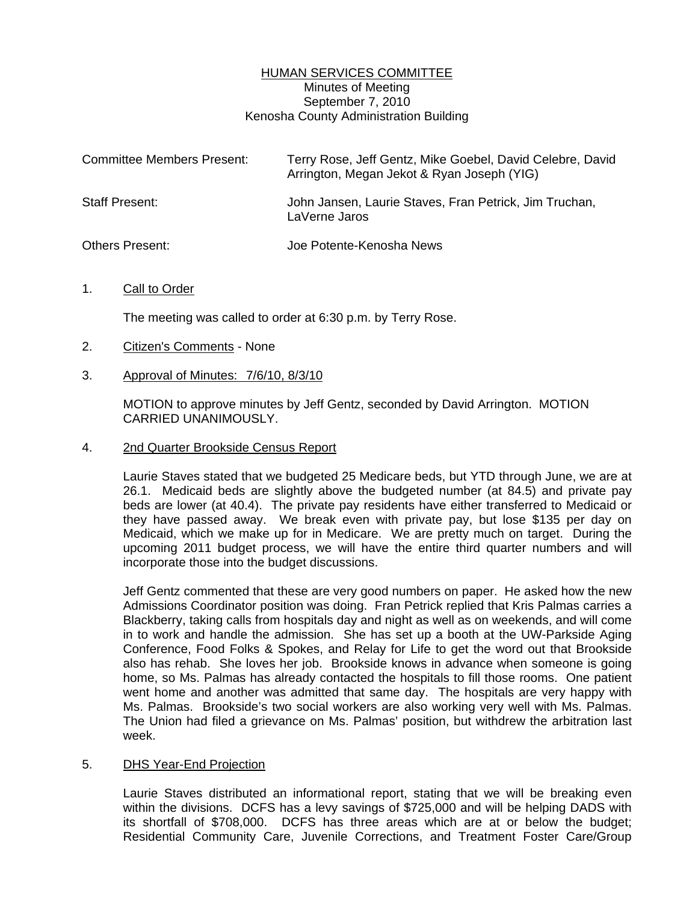## HUMAN SERVICES COMMITTEE Minutes of Meeting September 7, 2010 Kenosha County Administration Building

| <b>Committee Members Present:</b> | Terry Rose, Jeff Gentz, Mike Goebel, David Celebre, David<br>Arrington, Megan Jekot & Ryan Joseph (YIG) |
|-----------------------------------|---------------------------------------------------------------------------------------------------------|
| Staff Present:                    | John Jansen, Laurie Staves, Fran Petrick, Jim Truchan,<br>LaVerne Jaros                                 |
| <b>Others Present:</b>            | Joe Potente-Kenosha News                                                                                |

## 1. Call to Order

The meeting was called to order at 6:30 p.m. by Terry Rose.

- 2. Citizen's Comments None
- 3. Approval of Minutes: 7/6/10, 8/3/10

 MOTION to approve minutes by Jeff Gentz, seconded by David Arrington. MOTION CARRIED UNANIMOUSLY.

4. 2nd Quarter Brookside Census Report

 Laurie Staves stated that we budgeted 25 Medicare beds, but YTD through June, we are at 26.1. Medicaid beds are slightly above the budgeted number (at 84.5) and private pay beds are lower (at 40.4). The private pay residents have either transferred to Medicaid or they have passed away. We break even with private pay, but lose \$135 per day on Medicaid, which we make up for in Medicare. We are pretty much on target. During the upcoming 2011 budget process, we will have the entire third quarter numbers and will incorporate those into the budget discussions.

 Jeff Gentz commented that these are very good numbers on paper. He asked how the new Admissions Coordinator position was doing. Fran Petrick replied that Kris Palmas carries a Blackberry, taking calls from hospitals day and night as well as on weekends, and will come in to work and handle the admission. She has set up a booth at the UW-Parkside Aging Conference, Food Folks & Spokes, and Relay for Life to get the word out that Brookside also has rehab. She loves her job. Brookside knows in advance when someone is going home, so Ms. Palmas has already contacted the hospitals to fill those rooms. One patient went home and another was admitted that same day. The hospitals are very happy with Ms. Palmas. Brookside's two social workers are also working very well with Ms. Palmas. The Union had filed a grievance on Ms. Palmas' position, but withdrew the arbitration last week.

## 5. DHS Year-End Projection

 Laurie Staves distributed an informational report, stating that we will be breaking even within the divisions. DCFS has a levy savings of \$725,000 and will be helping DADS with its shortfall of \$708,000. DCFS has three areas which are at or below the budget; Residential Community Care, Juvenile Corrections, and Treatment Foster Care/Group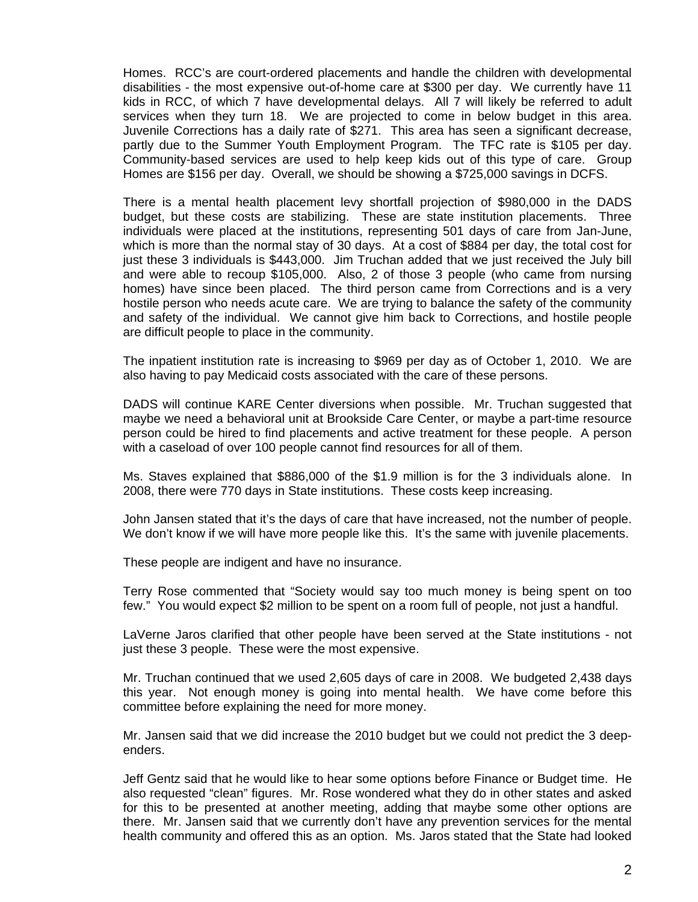Homes. RCC's are court-ordered placements and handle the children with developmental disabilities - the most expensive out-of-home care at \$300 per day. We currently have 11 kids in RCC, of which 7 have developmental delays. All 7 will likely be referred to adult services when they turn 18. We are projected to come in below budget in this area. Juvenile Corrections has a daily rate of \$271. This area has seen a significant decrease, partly due to the Summer Youth Employment Program. The TFC rate is \$105 per day. Community-based services are used to help keep kids out of this type of care. Group Homes are \$156 per day. Overall, we should be showing a \$725,000 savings in DCFS.

 There is a mental health placement levy shortfall projection of \$980,000 in the DADS budget, but these costs are stabilizing. These are state institution placements. Three individuals were placed at the institutions, representing 501 days of care from Jan-June, which is more than the normal stay of 30 days. At a cost of \$884 per day, the total cost for just these 3 individuals is \$443,000. Jim Truchan added that we just received the July bill and were able to recoup \$105,000. Also, 2 of those 3 people (who came from nursing homes) have since been placed. The third person came from Corrections and is a very hostile person who needs acute care. We are trying to balance the safety of the community and safety of the individual. We cannot give him back to Corrections, and hostile people are difficult people to place in the community.

 The inpatient institution rate is increasing to \$969 per day as of October 1, 2010. We are also having to pay Medicaid costs associated with the care of these persons.

 DADS will continue KARE Center diversions when possible. Mr. Truchan suggested that maybe we need a behavioral unit at Brookside Care Center, or maybe a part-time resource person could be hired to find placements and active treatment for these people. A person with a caseload of over 100 people cannot find resources for all of them.

 Ms. Staves explained that \$886,000 of the \$1.9 million is for the 3 individuals alone. In 2008, there were 770 days in State institutions. These costs keep increasing.

 John Jansen stated that it's the days of care that have increased, not the number of people. We don't know if we will have more people like this. It's the same with juvenile placements.

These people are indigent and have no insurance.

 Terry Rose commented that "Society would say too much money is being spent on too few." You would expect \$2 million to be spent on a room full of people, not just a handful.

 LaVerne Jaros clarified that other people have been served at the State institutions - not just these 3 people. These were the most expensive.

 Mr. Truchan continued that we used 2,605 days of care in 2008. We budgeted 2,438 days this year. Not enough money is going into mental health. We have come before this committee before explaining the need for more money.

 Mr. Jansen said that we did increase the 2010 budget but we could not predict the 3 deependers.

 Jeff Gentz said that he would like to hear some options before Finance or Budget time. He also requested "clean" figures. Mr. Rose wondered what they do in other states and asked for this to be presented at another meeting, adding that maybe some other options are there. Mr. Jansen said that we currently don't have any prevention services for the mental health community and offered this as an option. Ms. Jaros stated that the State had looked